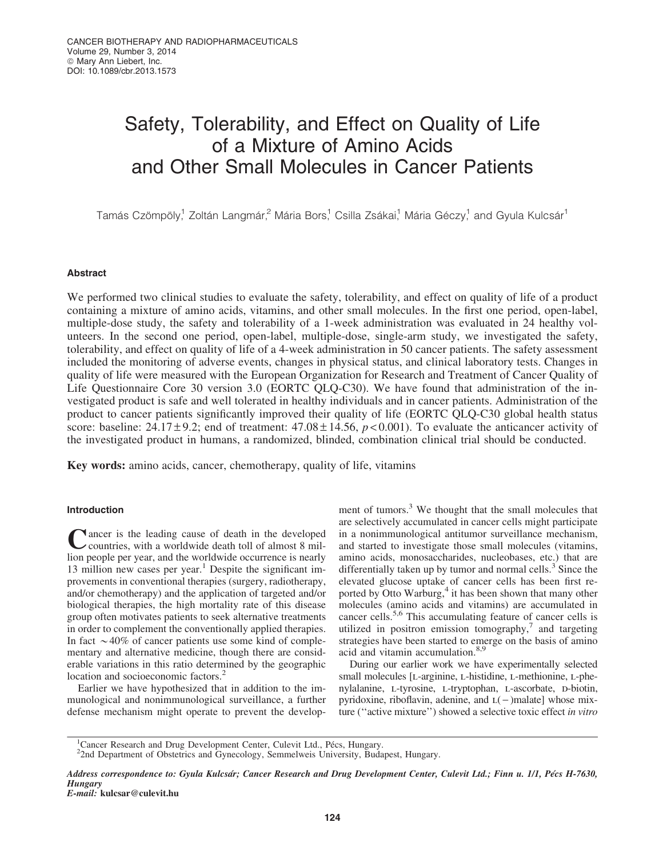# Safety, Tolerability, and Effect on Quality of Life of a Mixture of Amino Acids and Other Small Molecules in Cancer Patients

Tamás Czömpöly,<sup>1</sup> Zoltán Langmár,<sup>2</sup> Mária Bors,<sup>1</sup> Csilla Zsákai,<sup>1</sup> Mária Géczy,<sup>1</sup> and Gyula Kulcsár<sup>1</sup>

## Abstract

We performed two clinical studies to evaluate the safety, tolerability, and effect on quality of life of a product containing a mixture of amino acids, vitamins, and other small molecules. In the first one period, open-label, multiple-dose study, the safety and tolerability of a 1-week administration was evaluated in 24 healthy volunteers. In the second one period, open-label, multiple-dose, single-arm study, we investigated the safety, tolerability, and effect on quality of life of a 4-week administration in 50 cancer patients. The safety assessment included the monitoring of adverse events, changes in physical status, and clinical laboratory tests. Changes in quality of life were measured with the European Organization for Research and Treatment of Cancer Quality of Life Questionnaire Core 30 version 3.0 (EORTC OLO-C30). We have found that administration of the investigated product is safe and well tolerated in healthy individuals and in cancer patients. Administration of the product to cancer patients significantly improved their quality of life (EORTC QLQ-C30 global health status score: baseline:  $24.17 \pm 9.2$ ; end of treatment:  $47.08 \pm 14.56$ ,  $p < 0.001$ ). To evaluate the anticancer activity of the investigated product in humans, a randomized, blinded, combination clinical trial should be conducted.

Key words: amino acids, cancer, chemotherapy, quality of life, vitamins

## Introduction

 $\blacksquare$  ancer is the leading cause of death in the developed countries, with a worldwide death toll of almost 8 million people per year, and the worldwide occurrence is nearly 13 million new cases per year.<sup>1</sup> Despite the significant improvements in conventional therapies (surgery, radiotherapy, and/or chemotherapy) and the application of targeted and/or biological therapies, the high mortality rate of this disease group often motivates patients to seek alternative treatments in order to complement the conventionally applied therapies. In fact  $\sim$  40% of cancer patients use some kind of complementary and alternative medicine, though there are considerable variations in this ratio determined by the geographic location and socioeconomic factors.<sup>2</sup>

Earlier we have hypothesized that in addition to the immunological and nonimmunological surveillance, a further defense mechanism might operate to prevent the development of tumors.<sup>3</sup> We thought that the small molecules that are selectively accumulated in cancer cells might participate in a nonimmunological antitumor surveillance mechanism, and started to investigate those small molecules (vitamins, amino acids, monosaccharides, nucleobases, etc.) that are differentially taken up by tumor and normal cells.<sup>3</sup> Since the elevated glucose uptake of cancer cells has been first reported by Otto Warburg, $4$  it has been shown that many other molecules (amino acids and vitamins) are accumulated in cancer cells.5,6 This accumulating feature of cancer cells is utilized in positron emission tomography, $7$  and targeting strategies have been started to emerge on the basis of amino acid and vitamin accumulation.8,9

During our earlier work we have experimentally selected small molecules [L-arginine, L-histidine, L-methionine, L-phenylalanine, L-tyrosine, L-tryptophan, L-ascorbate, D-biotin, pyridoxine, riboflavin, adenine, and  $L(-)$ malate] whose mixture (''active mixture'') showed a selective toxic effect *in vitro*

<sup>1</sup>Cancer Research and Drug Development Center, Culevit Ltd., Pécs, Hungary.<br><sup>2</sup>2nd Department of Obstatries and Gynecology, Semmelywis University, Budo

Address correspondence to: Gyula Kulcsár; Cancer Research and Drug Development Center, Culevit Ltd.; Finn u. 1/1, Pécs H-7630, **Hungary** 

E-mail: kulcsar@culevit.hu

<sup>&</sup>lt;sup>2</sup>2nd Department of Obstetrics and Gynecology, Semmelweis University, Budapest, Hungary.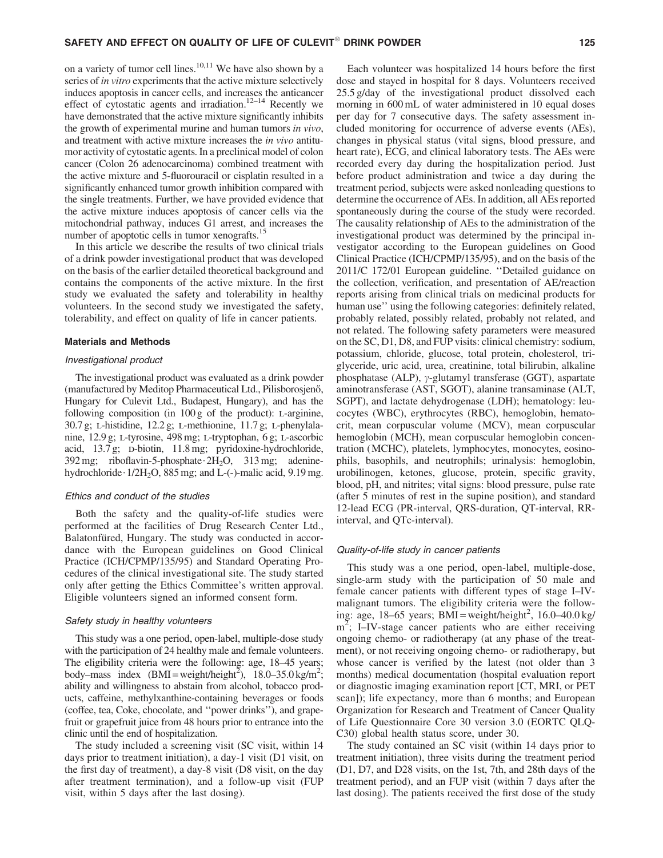on a variety of tumor cell lines. $10,11$  We have also shown by a series of *in vitro* experiments that the active mixture selectively induces apoptosis in cancer cells, and increases the anticancer effect of cytostatic agents and irradiation.<sup>12-14</sup> Recently we have demonstrated that the active mixture significantly inhibits the growth of experimental murine and human tumors *in vivo*, and treatment with active mixture increases the *in vivo* antitumor activity of cytostatic agents. In a preclinical model of colon cancer (Colon 26 adenocarcinoma) combined treatment with the active mixture and 5-fluorouracil or cisplatin resulted in a significantly enhanced tumor growth inhibition compared with the single treatments. Further, we have provided evidence that the active mixture induces apoptosis of cancer cells via the mitochondrial pathway, induces G1 arrest, and increases the number of apoptotic cells in tumor xenografts.<sup>15</sup>

In this article we describe the results of two clinical trials of a drink powder investigational product that was developed on the basis of the earlier detailed theoretical background and contains the components of the active mixture. In the first study we evaluated the safety and tolerability in healthy volunteers. In the second study we investigated the safety, tolerability, and effect on quality of life in cancer patients.

#### Materials and Methods

#### Investigational product

The investigational product was evaluated as a drink powder (manufactured by Meditop Pharmaceutical Ltd., Pilisborosjenő, Hungary for Culevit Ltd., Budapest, Hungary), and has the following composition (in  $100 g$  of the product): L-arginine,  $30.7 \text{ g}$ ; L-histidine,  $12.2 \text{ g}$ ; L-methionine,  $11.7 \text{ g}$ ; L-phenylalanine, 12.9 g; l-tyrosine, 498 mg; l-tryptophan, 6 g; l-ascorbic acid, 13.7 g; p-biotin, 11.8 mg; pyridoxine-hydrochloride,  $392 \text{ mg}$ ; riboflavin-5-phosphate  $2H_2O$ ,  $313 \text{ mg}$ ; adeninehydrochloride $\cdot$  1/2H<sub>2</sub>O, 885 mg; and L-(-)-malic acid, 9.19 mg.

#### Ethics and conduct of the studies

Both the safety and the quality-of-life studies were performed at the facilities of Drug Research Center Ltd., Balatonfüred, Hungary. The study was conducted in accordance with the European guidelines on Good Clinical Practice (ICH/CPMP/135/95) and Standard Operating Procedures of the clinical investigational site. The study started only after getting the Ethics Committee's written approval. Eligible volunteers signed an informed consent form.

#### Safety study in healthy volunteers

This study was a one period, open-label, multiple-dose study with the participation of 24 healthy male and female volunteers. The eligibility criteria were the following: age, 18–45 years; body–mass index  $(BMI = weight/height^2)$ , 18.0–35.0 kg/m<sup>2</sup>; ability and willingness to abstain from alcohol, tobacco products, caffeine, methylxanthine-containing beverages or foods (coffee, tea, Coke, chocolate, and ''power drinks''), and grapefruit or grapefruit juice from 48 hours prior to entrance into the clinic until the end of hospitalization.

The study included a screening visit (SC visit, within 14 days prior to treatment initiation), a day-1 visit (D1 visit, on the first day of treatment), a day-8 visit (D8 visit, on the day after treatment termination), and a follow-up visit (FUP visit, within 5 days after the last dosing).

Each volunteer was hospitalized 14 hours before the first dose and stayed in hospital for 8 days. Volunteers received 25.5 g/day of the investigational product dissolved each morning in 600 mL of water administered in 10 equal doses per day for 7 consecutive days. The safety assessment included monitoring for occurrence of adverse events (AEs), changes in physical status (vital signs, blood pressure, and heart rate), ECG, and clinical laboratory tests. The AEs were recorded every day during the hospitalization period. Just before product administration and twice a day during the treatment period, subjects were asked nonleading questions to determine the occurrence of AEs. In addition, all AEs reported spontaneously during the course of the study were recorded. The causality relationship of AEs to the administration of the investigational product was determined by the principal investigator according to the European guidelines on Good Clinical Practice (ICH/CPMP/135/95), and on the basis of the 2011/C 172/01 European guideline. ''Detailed guidance on the collection, verification, and presentation of AE/reaction reports arising from clinical trials on medicinal products for human use" using the following categories: definitely related, probably related, possibly related, probably not related, and not related. The following safety parameters were measured on the SC, D1, D8, and FUP visits: clinical chemistry: sodium, potassium, chloride, glucose, total protein, cholesterol, triglyceride, uric acid, urea, creatinine, total bilirubin, alkaline phosphatase (ALP),  $\gamma$ -glutamyl transferase (GGT), aspartate aminotransferase (AST, SGOT), alanine transaminase (ALT, SGPT), and lactate dehydrogenase (LDH); hematology: leucocytes (WBC), erythrocytes (RBC), hemoglobin, hematocrit, mean corpuscular volume (MCV), mean corpuscular hemoglobin (MCH), mean corpuscular hemoglobin concentration (MCHC), platelets, lymphocytes, monocytes, eosinophils, basophils, and neutrophils; urinalysis: hemoglobin, urobilinogen, ketones, glucose, protein, specific gravity, blood, pH, and nitrites; vital signs: blood pressure, pulse rate (after 5 minutes of rest in the supine position), and standard 12-lead ECG (PR-interval, QRS-duration, QT-interval, RRinterval, and QTc-interval).

#### Quality-of-life study in cancer patients

This study was a one period, open-label, multiple-dose, single-arm study with the participation of 50 male and female cancer patients with different types of stage I–IVmalignant tumors. The eligibility criteria were the following: age, 18–65 years; BMI = weight/height<sup>2</sup>, 16.0–40.0 kg/ m<sup>2</sup>; I–IV-stage cancer patients who are either receiving ongoing chemo- or radiotherapy (at any phase of the treatment), or not receiving ongoing chemo- or radiotherapy, but whose cancer is verified by the latest (not older than 3 months) medical documentation (hospital evaluation report or diagnostic imaging examination report [CT, MRI, or PET scan]); life expectancy, more than 6 months; and European Organization for Research and Treatment of Cancer Quality of Life Questionnaire Core 30 version 3.0 (EORTC QLQ-C30) global health status score, under 30.

The study contained an SC visit (within 14 days prior to treatment initiation), three visits during the treatment period (D1, D7, and D28 visits, on the 1st, 7th, and 28th days of the treatment period), and an FUP visit (within 7 days after the last dosing). The patients received the first dose of the study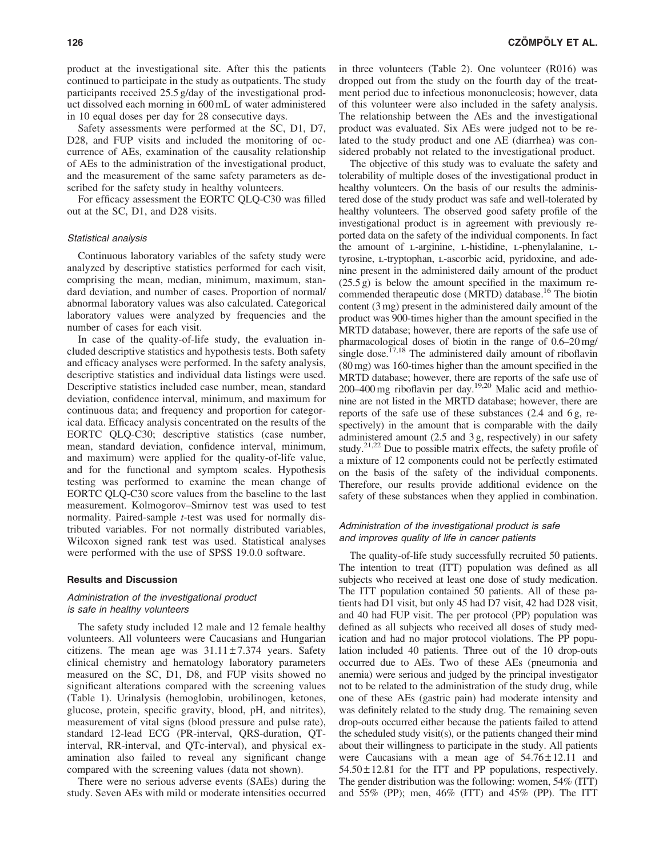product at the investigational site. After this the patients continued to participate in the study as outpatients. The study participants received 25.5 g/day of the investigational product dissolved each morning in 600 mL of water administered in 10 equal doses per day for 28 consecutive days.

Safety assessments were performed at the SC, D1, D7, D28, and FUP visits and included the monitoring of occurrence of AEs, examination of the causality relationship of AEs to the administration of the investigational product, and the measurement of the same safety parameters as described for the safety study in healthy volunteers.

For efficacy assessment the EORTC QLQ-C30 was filled out at the SC, D1, and D28 visits.

#### Statistical analysis

Continuous laboratory variables of the safety study were analyzed by descriptive statistics performed for each visit, comprising the mean, median, minimum, maximum, standard deviation, and number of cases. Proportion of normal/ abnormal laboratory values was also calculated. Categorical laboratory values were analyzed by frequencies and the number of cases for each visit.

In case of the quality-of-life study, the evaluation included descriptive statistics and hypothesis tests. Both safety and efficacy analyses were performed. In the safety analysis, descriptive statistics and individual data listings were used. Descriptive statistics included case number, mean, standard deviation, confidence interval, minimum, and maximum for continuous data; and frequency and proportion for categorical data. Efficacy analysis concentrated on the results of the EORTC QLQ-C30; descriptive statistics (case number, mean, standard deviation, confidence interval, minimum, and maximum) were applied for the quality-of-life value, and for the functional and symptom scales. Hypothesis testing was performed to examine the mean change of EORTC QLQ-C30 score values from the baseline to the last measurement. Kolmogorov–Smirnov test was used to test normality. Paired-sample *t*-test was used for normally distributed variables. For not normally distributed variables, Wilcoxon signed rank test was used. Statistical analyses were performed with the use of SPSS 19.0.0 software.

#### Results and Discussion

## Administration of the investigational product is safe in healthy volunteers

The safety study included 12 male and 12 female healthy volunteers. All volunteers were Caucasians and Hungarian citizens. The mean age was  $31.11 \pm 7.374$  years. Safety clinical chemistry and hematology laboratory parameters measured on the SC, D1, D8, and FUP visits showed no significant alterations compared with the screening values (Table 1). Urinalysis (hemoglobin, urobilinogen, ketones, glucose, protein, specific gravity, blood, pH, and nitrites), measurement of vital signs (blood pressure and pulse rate), standard 12-lead ECG (PR-interval, QRS-duration, QTinterval, RR-interval, and QTc-interval), and physical examination also failed to reveal any significant change compared with the screening values (data not shown).

There were no serious adverse events (SAEs) during the study. Seven AEs with mild or moderate intensities occurred in three volunteers (Table 2). One volunteer (R016) was dropped out from the study on the fourth day of the treatment period due to infectious mononucleosis; however, data of this volunteer were also included in the safety analysis. The relationship between the AEs and the investigational product was evaluated. Six AEs were judged not to be related to the study product and one AE (diarrhea) was considered probably not related to the investigational product.

The objective of this study was to evaluate the safety and tolerability of multiple doses of the investigational product in healthy volunteers. On the basis of our results the administered dose of the study product was safe and well-tolerated by healthy volunteers. The observed good safety profile of the investigational product is in agreement with previously reported data on the safety of the individual components. In fact the amount of L-arginine, L-histidine, L-phenylalanine, Ltyrosine, L-tryptophan, L-ascorbic acid, pyridoxine, and adenine present in the administered daily amount of the product (25.5 g) is below the amount specified in the maximum recommended therapeutic dose (MRTD) database.<sup>16</sup> The biotin content (3 mg) present in the administered daily amount of the product was 900-times higher than the amount specified in the MRTD database; however, there are reports of the safe use of pharmacological doses of biotin in the range of 0.6–20 mg/ single dose.<sup> $17,18$ </sup> The administered daily amount of riboflavin (80 mg) was 160-times higher than the amount specified in the MRTD database; however, there are reports of the safe use of 200–400 mg riboflavin per day.<sup>19,20</sup> Malic acid and methionine are not listed in the MRTD database; however, there are reports of the safe use of these substances (2.4 and 6 g, respectively) in the amount that is comparable with the daily administered amount (2.5 and 3 g, respectively) in our safety study.<sup>21,22</sup> Due to possible matrix effects, the safety profile of a mixture of 12 components could not be perfectly estimated on the basis of the safety of the individual components. Therefore, our results provide additional evidence on the safety of these substances when they applied in combination.

## Administration of the investigational product is safe and improves quality of life in cancer patients

The quality-of-life study successfully recruited 50 patients. The intention to treat (ITT) population was defined as all subjects who received at least one dose of study medication. The ITT population contained 50 patients. All of these patients had D1 visit, but only 45 had D7 visit, 42 had D28 visit, and 40 had FUP visit. The per protocol (PP) population was defined as all subjects who received all doses of study medication and had no major protocol violations. The PP population included 40 patients. Three out of the 10 drop-outs occurred due to AEs. Two of these AEs (pneumonia and anemia) were serious and judged by the principal investigator not to be related to the administration of the study drug, while one of these AEs (gastric pain) had moderate intensity and was definitely related to the study drug. The remaining seven drop-outs occurred either because the patients failed to attend the scheduled study visit(s), or the patients changed their mind about their willingness to participate in the study. All patients were Caucasians with a mean age of  $54.76 \pm 12.11$  and  $54.50 \pm 12.81$  for the ITT and PP populations, respectively. The gender distribution was the following: women, 54% (ITT) and 55% (PP); men, 46% (ITT) and 45% (PP). The ITT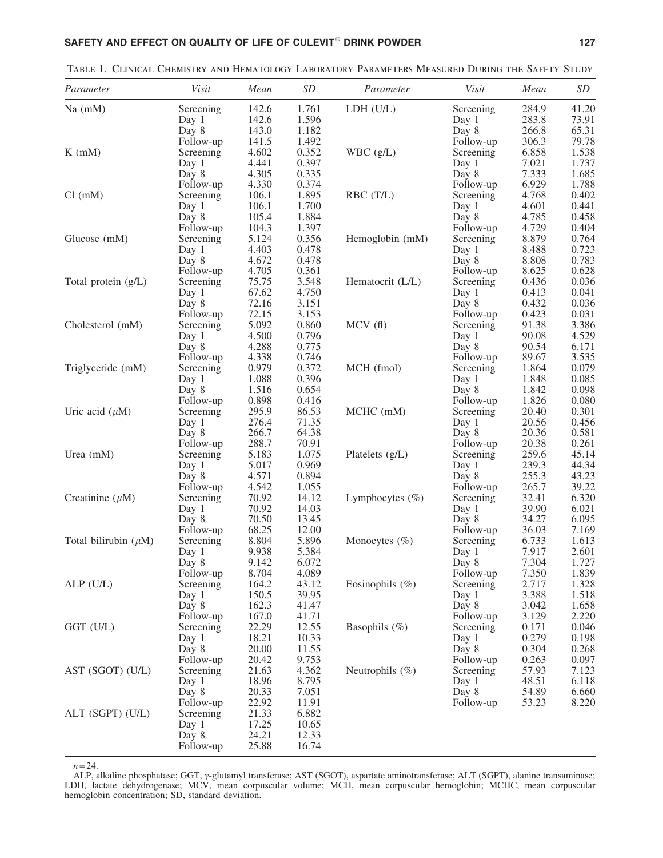| Parameter                 | Visit                  | Mean           | SD             | Parameter           | Visit                  | Mean           | SD             |
|---------------------------|------------------------|----------------|----------------|---------------------|------------------------|----------------|----------------|
| $Na$ (mM)                 | Screening              | 142.6          | 1.761          | LDH (U/L)           | Screening              | 284.9          | 41.20          |
|                           | Day 1                  | 142.6          | 1.596          |                     | Day 1                  | 283.8          | 73.91          |
|                           | Day 8                  | 143.0          | 1.182          |                     | Day 8                  | 266.8          | 65.31          |
|                           | Follow-up              | 141.5          | 1.492          |                     | Follow-up              | 306.3          | 79.78          |
| $K$ (mM)                  | Screening              | 4.602          | 0.352          | WBC(g/L)            | Screening              | 6.858          | 1.538          |
|                           | Day 1                  | 4.441          | 0.397          |                     | Day 1                  | 7.021          | 1.737          |
|                           | Day 8                  | 4.305          | 0.335          |                     | Day 8                  | 7.333          | 1.685          |
|                           | Follow-up              | 4.330          | 0.374          |                     | Follow-up              | 6.929          | 1.788          |
| Cl (mM)                   | Screening              | 106.1          | 1.895          | RBC (T/L)           | Screening              | 4.768          | 0.402          |
|                           | Day 1                  | 106.1          | 1.700          |                     | Day 1                  | 4.601          | 0.441          |
|                           | Day 8                  | 105.4          | 1.884          |                     | Day 8                  | 4.785          | 0.458          |
|                           | Follow-up              | 104.3          | 1.397          |                     | Follow-up              | 4.729          | 0.404          |
| Glucose (mM)              | Screening              | 5.124          | 0.356          | Hemoglobin (mM)     | Screening              | 8.879          | 0.764          |
|                           | Day 1                  | 4.403          | 0.478          |                     | Day 1                  | 8.488          | 0.723          |
|                           | Day 8                  | 4.672          | 0.478          |                     | Day 8                  | 8.808          | 0.783          |
|                           | Follow-up              | 4.705          | 0.361          |                     | Follow-up              | 8.625          | 0.628          |
| Total protein (g/L)       | Screening              | 75.75          | 3.548          | Hematocrit (L/L)    | Screening              | 0.436          | 0.036          |
|                           | Day 1                  | 67.62          | 4.750          |                     | Day 1                  | 0.413          | 0.041          |
|                           | Day 8                  | 72.16          | 3.151          |                     | Day 8                  | 0.432          | 0.036          |
|                           | Follow-up              | 72.15          | 3.153          |                     | Follow-up              | 0.423          | 0.031          |
| Cholesterol (mM)          | Screening              | 5.092          | 0.860          | MCV(f)              | Screening              | 91.38          | 3.386          |
|                           | Day 1                  | 4.500          | 0.796          |                     | Day 1                  | 90.08          | 4.529          |
|                           | Day 8                  | 4.288          | 0.775          |                     | Day 8                  | 90.54          | 6.171<br>3.535 |
| Triglyceride (mM)         | Follow-up<br>Screening | 4.338<br>0.979 | 0.746<br>0.372 | MCH (fmol)          | Follow-up<br>Screening | 89.67<br>1.864 | 0.079          |
|                           | Day 1                  | 1.088          | 0.396          |                     | Day 1                  | 1.848          | 0.085          |
|                           | Day 8                  | 1.516          | 0.654          |                     | Day 8                  | 1.842          | 0.098          |
|                           | Follow-up              | 0.898          | 0.416          |                     | Follow-up              | 1.826          | 0.080          |
| Uric acid $(\mu M)$       | Screening              | 295.9          | 86.53          | MCHC (mM)           | Screening              | 20.40          | 0.301          |
|                           | Day 1                  | 276.4          | 71.35          |                     | Day 1                  | 20.56          | 0.456          |
|                           | Day 8                  | 266.7          | 64.38          |                     | Day 8                  | 20.36          | 0.581          |
|                           | Follow-up              | 288.7          | 70.91          |                     | Follow-up              | 20.38          | 0.261          |
| Urea $(mM)$               | Screening              | 5.183          | 1.075          | Platelets (g/L)     | Screening              | 259.6          | 45.14          |
|                           | Day 1                  | 5.017          | 0.969          |                     | Day 1                  | 239.3          | 44.34          |
|                           | Day 8                  | 4.571          | 0.894          |                     | Day 8                  | 255.3          | 43.23          |
|                           | Follow-up              | 4.542          | 1.055          |                     | Follow-up              | 265.7          | 39.22          |
| Creatinine $(\mu M)$      | Screening              | 70.92          | 14.12          | Lymphocytes $(\%)$  | Screening              | 32.41          | 6.320          |
|                           | Day 1                  | 70.92          | 14.03          |                     | Day 1                  | 39.90          | 6.021          |
|                           | Day 8                  | 70.50          | 13.45          |                     | Day 8                  | 34.27          | 6.095          |
|                           | Follow-up              | 68.25          | 12.00          |                     | Follow-up              | 36.03          | 7.169          |
| Total bilirubin $(\mu M)$ | Screening              | 8.804          | 5.896          | Monocytes $(\%)$    | Screening              | 6.733          | 1.613          |
|                           | Day 1                  | 9.938          | 5.384          |                     | Day 1                  | 7.917          | 2.601          |
|                           | Day 8                  | 9.142          | 6.072          |                     | Day 8                  | 7.304          | 1.727          |
|                           | Follow-up              | 8.704          | 4.089          |                     | Follow-up              | 7.350          | 1.839          |
| ALP (U/L)                 | Screening              | 164.2          | 43.12          | Eosinophils $(\% )$ | Screening              | 2.717          | 1.328          |
|                           | Day 1                  | 150.5          | 39.95          |                     | Day 1                  | 3.388          | 1.518          |
|                           | Day 8                  | 162.3          | 41.47          |                     | Day 8                  | 3.042          | 1.658          |
|                           | Follow-up              | 167.0          | 41.71          |                     | Follow-up              | 3.129          | 2.220          |
| GGT (U/L)                 | Screening              | 22.29          | 12.55          | Basophils $(\%)$    | Screening              | 0.171          | 0.046          |
|                           | Day 1                  | 18.21          | 10.33          |                     | Day 1                  | 0.279          | 0.198          |
|                           | Day 8                  | 20.00          | 11.55          |                     | Day 8                  | 0.304          | 0.268          |
|                           | Follow-up              | 20.42<br>21.63 | 9.753<br>4.362 | Neutrophils $(\%)$  | Follow-up              | 0.263<br>57.93 | 0.097<br>7.123 |
| AST (SGOT) (U/L)          | Screening              | 18.96          | 8.795          |                     | Screening              | 48.51          | 6.118          |
|                           | Day 1<br>Day 8         | 20.33          | 7.051          |                     | Day 1<br>Day 8         | 54.89          | 6.660          |
|                           | Follow-up              | 22.92          | 11.91          |                     | Follow-up              | 53.23          | 8.220          |
| ALT (SGPT) (U/L)          | Screening              | 21.33          | 6.882          |                     |                        |                |                |
|                           | Day 1                  | 17.25          | 10.65          |                     |                        |                |                |
|                           | Day 8                  | 24.21          | 12.33          |                     |                        |                |                |
|                           | Follow-up              | 25.88          | 16.74          |                     |                        |                |                |
|                           |                        |                |                |                     |                        |                |                |

Table 1. Clinical Chemistry and Hematology Laboratory Parameters Measured During the Safety Study

 $n = 24$ .

ALP, alkaline phosphatase; GGT,  $\gamma$ -glutamyl transferase; AST (SGOT), aspartate aminotransferase; ALT (SGPT), alanine transaminase; LDH, lactate dehydrogenase; MCV, mean corpuscular volume; MCH, mean corpuscular hemoglobin; MCHC, mean corpuscular hemoglobin concentration; SD, standard deviation.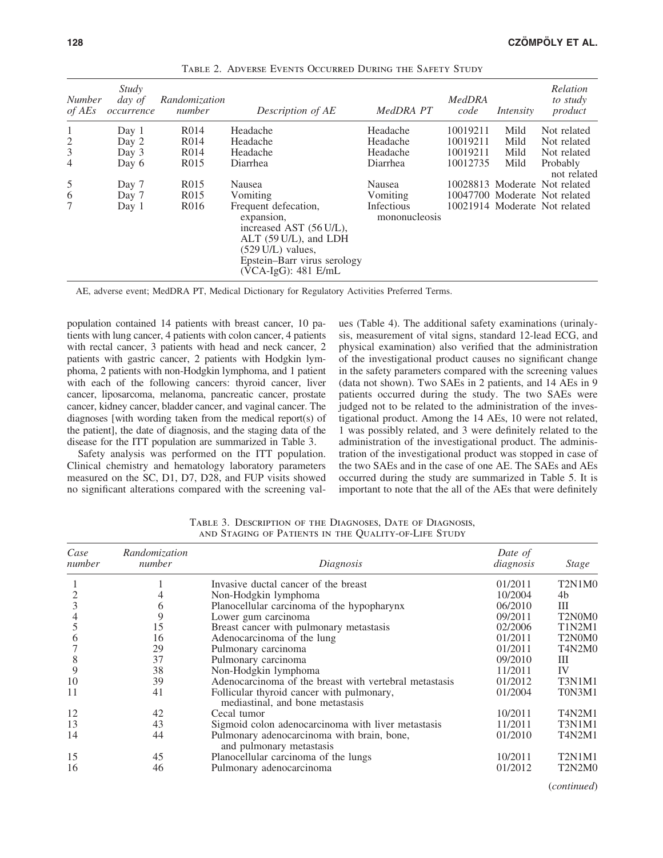| <b>Number</b><br>$of$ AEs | Study<br>day of<br>occurrence | Randomization<br>number | Description of AE                                                                                                                                                             | MedDRA PT                   | <b>MedDRA</b><br>code | Intensity | Relation<br>to study<br>product |
|---------------------------|-------------------------------|-------------------------|-------------------------------------------------------------------------------------------------------------------------------------------------------------------------------|-----------------------------|-----------------------|-----------|---------------------------------|
| 1                         | Day 1                         | R <sub>0</sub> 14       | Headache                                                                                                                                                                      | Headache                    | 10019211              | Mild      | Not related                     |
| $\mathbf{2}$              | Day 2                         | R <sub>0</sub> 14       | Headache                                                                                                                                                                      | Headache                    | 10019211              | Mild      | Not related                     |
| $\mathfrak{Z}$            | Day 3                         | R <sub>0</sub> 14       | Headache                                                                                                                                                                      | Headache                    | 10019211              | Mild      | Not related                     |
| $\overline{4}$            | Day 6                         | R <sub>0</sub> 15       | Diarrhea                                                                                                                                                                      | Diarrhea                    | 10012735              | Mild      | Probably<br>not related         |
| 5                         | Day 7                         | R <sub>0</sub> 15       | Nausea                                                                                                                                                                        | Nausea                      |                       |           | 10028813 Moderate Not related   |
| 6                         | Day 7                         | R <sub>015</sub>        | Vomiting                                                                                                                                                                      | Vomiting                    |                       |           | 10047700 Moderate Not related   |
| 7                         | Day 1                         | R <sub>0</sub> 16       | Frequent defecation,<br>expansion,<br>increased AST (56 U/L),<br>ALT (59 U/L), and LDH<br>$(529 \text{ U/L})$ values,<br>Epstein-Barr virus serology<br>$(VCA-IgG): 481$ E/mL | Infectious<br>mononucleosis |                       |           | 10021914 Moderate Not related   |

Table 2. Adverse Events Occurred During the Safety Study

AE, adverse event; MedDRA PT, Medical Dictionary for Regulatory Activities Preferred Terms.

population contained 14 patients with breast cancer, 10 patients with lung cancer, 4 patients with colon cancer, 4 patients with rectal cancer, 3 patients with head and neck cancer, 2 patients with gastric cancer, 2 patients with Hodgkin lymphoma, 2 patients with non-Hodgkin lymphoma, and 1 patient with each of the following cancers: thyroid cancer, liver cancer, liposarcoma, melanoma, pancreatic cancer, prostate cancer, kidney cancer, bladder cancer, and vaginal cancer. The diagnoses [with wording taken from the medical report(s) of the patient], the date of diagnosis, and the staging data of the disease for the ITT population are summarized in Table 3.

Safety analysis was performed on the ITT population. Clinical chemistry and hematology laboratory parameters measured on the SC, D1, D7, D28, and FUP visits showed no significant alterations compared with the screening values (Table 4). The additional safety examinations (urinalysis, measurement of vital signs, standard 12-lead ECG, and physical examination) also verified that the administration of the investigational product causes no significant change in the safety parameters compared with the screening values (data not shown). Two SAEs in 2 patients, and 14 AEs in 9 patients occurred during the study. The two SAEs were judged not to be related to the administration of the investigational product. Among the 14 AEs, 10 were not related, 1 was possibly related, and 3 were definitely related to the administration of the investigational product. The administration of the investigational product was stopped in case of the two SAEs and in the case of one AE. The SAEs and AEs occurred during the study are summarized in Table 5. It is important to note that the all of the AEs that were definitely

| Case<br>number | Randomization<br>number | Diagnosis                                                                     | Date of<br>diagnosis | Stage                                        |
|----------------|-------------------------|-------------------------------------------------------------------------------|----------------------|----------------------------------------------|
|                |                         | Invasive ductal cancer of the breast                                          | 01/2011              | T <sub>2</sub> N <sub>1</sub> M <sub>0</sub> |
|                |                         | Non-Hodgkin lymphoma                                                          | 10/2004              | 4b                                           |
|                | 6                       | Planocellular carcinoma of the hypopharynx                                    | 06/2010              | Ш                                            |
|                | 9                       | Lower gum carcinoma                                                           | 09/2011              | T <sub>2</sub> N <sub>0</sub> M <sub>0</sub> |
|                | 15                      | Breast cancer with pulmonary metastasis                                       | 02/2006              | <b>T1N2M1</b>                                |
| h              | 16                      | Adenocarcinoma of the lung                                                    | 01/2011              | T <sub>2</sub> N <sub>0</sub> M <sub>0</sub> |
|                | 29                      | Pulmonary carcinoma                                                           | 01/2011              | <b>T4N2M0</b>                                |
| 8              | 37                      | Pulmonary carcinoma                                                           | 09/2010              | Ш                                            |
| 9              | 38                      | Non-Hodgkin lymphoma                                                          | 11/2011              | IV                                           |
| 10             | 39                      | Adenocarcinoma of the breast with vertebral metastasis                        | 01/2012              | T3N1M1                                       |
| 11             | 41                      | Follicular thyroid cancer with pulmonary,<br>mediastinal, and bone metastasis | 01/2004              | T0N3M1                                       |
| 12             | 42                      | Cecal tumor                                                                   | 10/2011              | <b>T4N2M1</b>                                |
| 13             | 43                      | Sigmoid colon adenocarcinoma with liver metastasis                            | 11/2011              | T3N1M1                                       |
| 14             | 44                      | Pulmonary adenocarcinoma with brain, bone,<br>and pulmonary metastasis        | 01/2010              | T4N2M1                                       |
| 15             | 45                      | Planocellular carcinoma of the lungs                                          | 10/2011              | T2N1M1                                       |
| 16             | 46                      | Pulmonary adenocarcinoma                                                      | 01/2012              | T <sub>2</sub> N <sub>2</sub> M <sub>0</sub> |
|                |                         |                                                                               |                      | (constant)                                   |

Table 3. Description of the Diagnoses, Date of Diagnosis, and Staging of Patients in the Quality-of-Life Study

(*continued*)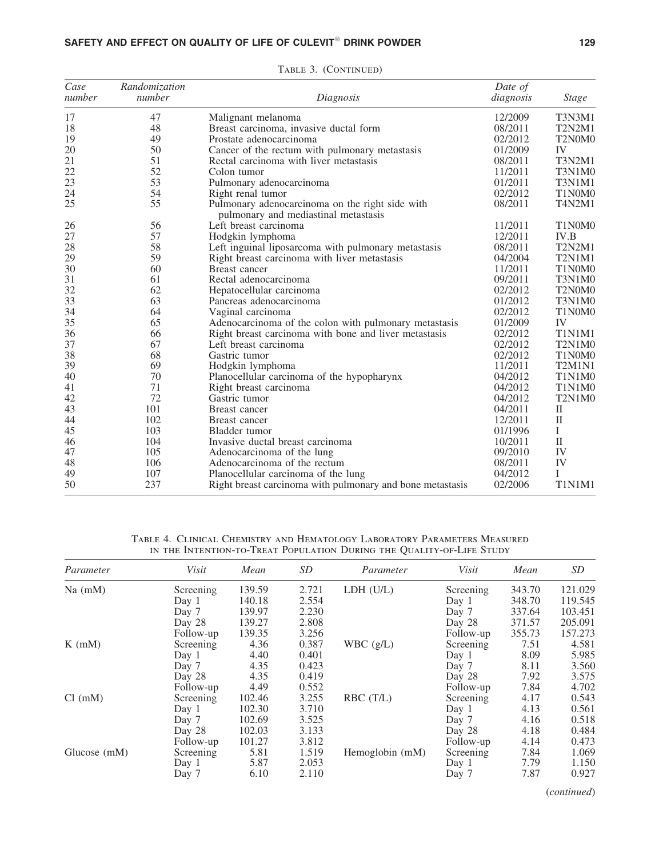## SAFETY AND EFFECT ON QUALITY OF LIFE OF CULEVIT $^\circ$  DRINK POWDER  $_{\rm}$  129

| Case<br>number | Randomization<br>number | Diagnosis                                                                               | Date of<br>diagnosis | <b>Stage</b>                                 |
|----------------|-------------------------|-----------------------------------------------------------------------------------------|----------------------|----------------------------------------------|
| 17             | 47                      | Malignant melanoma                                                                      | 12/2009              | <b>T3N3M1</b>                                |
| 18             | 48                      | Breast carcinoma, invasive ductal form                                                  | 08/2011              | <b>T2N2M1</b>                                |
| 19             | 49                      | Prostate adenocarcinoma                                                                 | 02/2012              | T <sub>2</sub> N <sub>0</sub> M <sub>0</sub> |
| 20             | 50                      | Cancer of the rectum with pulmonary metastasis                                          | 01/2009              | IV                                           |
| 21             | 51                      | Rectal carcinoma with liver metastasis                                                  | 08/2011              | <b>T3N2M1</b>                                |
| 22             | 52                      | Colon tumor                                                                             | 11/2011              | T3N1M0                                       |
| 23             | 53                      | Pulmonary adenocarcinoma                                                                | 01/2011              | <b>T3N1M1</b>                                |
| 24             | 54                      | Right renal tumor                                                                       | 02/2012              | T1N0M0                                       |
| 25             | 55                      | Pulmonary adenocarcinoma on the right side with<br>pulmonary and mediastinal metastasis | 08/2011              | T4N2M1                                       |
| 26             | 56                      | Left breast carcinoma                                                                   | 11/2011              | T1N0M0                                       |
| 27             | 57                      | Hodgkin lymphoma                                                                        | 12/2011              | IV.B                                         |
| 28             | 58                      | Left inguinal liposarcoma with pulmonary metastasis                                     | 08/2011              | <b>T2N2M1</b>                                |
| 29             | 59                      | Right breast carcinoma with liver metastasis                                            | 04/2004              | <b>T2N1M1</b>                                |
| 30             | 60                      | Breast cancer                                                                           | 11/2011              | T1N0M0                                       |
| 31             | 61                      | Rectal adenocarcinoma                                                                   | 09/2011              | T3N1M0                                       |
| 32             | 62                      | Hepatocellular carcinoma                                                                | 02/2012              | T2N0M0                                       |
| 33             | 63                      | Pancreas adenocarcinoma                                                                 | 01/2012              | T3N1M0                                       |
| 34             | 64                      | Vaginal carcinoma                                                                       | 02/2012              | T1N0M0                                       |
| 35             | 65                      | Adenocarcinoma of the colon with pulmonary metastasis                                   | 01/2009              | IV                                           |
| 36             | 66                      | Right breast carcinoma with bone and liver metastasis                                   | 02/2012              | <b>T1N1M1</b>                                |
| 37             | 67                      | Left breast carcinoma                                                                   | 02/2012              | T <sub>2</sub> N <sub>1</sub> M <sub>0</sub> |
| 38             | 68                      | Gastric tumor                                                                           | 02/2012              | T1N0M0                                       |
| 39             | 69                      | Hodgkin lymphoma                                                                        | 11/2011              | T2M1N1                                       |
| 40             | 70                      | Planocellular carcinoma of the hypopharynx                                              | 04/2012              | T1N1M0                                       |
| 41             | 71                      | Right breast carcinoma                                                                  | 04/2012              | T1N1M0                                       |
| 42             | 72                      | Gastric tumor                                                                           | 04/2012              | T2N1M0                                       |
| 43             | 101                     | Breast cancer                                                                           | 04/2011              | $\rm II$                                     |
| 44             | 102                     | Breast cancer                                                                           | 12/2011              | $\mathbf{I}$                                 |
| 45             | 103                     | Bladder tumor                                                                           | 01/1996              | L                                            |
| 46             | 104                     | Invasive ductal breast carcinoma                                                        | 10/2011              | $\mathbf{I}$                                 |
| 47             | 105                     | Adenocarcinoma of the lung                                                              | 09/2010              | IV                                           |
| 48             | 106                     | Adenocarcinoma of the rectum                                                            | 08/2011              | IV                                           |
| 49             | 107                     | Planocellular carcinoma of the lung                                                     | 04/2012              | I                                            |
| 50             | 237                     | Right breast carcinoma with pulmonary and bone metastasis                               | 02/2006              | <b>T1N1M1</b>                                |

TABLE 3. (CONTINUED)

Table 4. Clinical Chemistry and Hematology Laboratory Parameters Measured in the Intention-to-Treat Population During the Quality-of-Life Study

| Parameter      | Visit     | Mean   | SD    | Parameter       | Visit     | Mean   | SD      |
|----------------|-----------|--------|-------|-----------------|-----------|--------|---------|
| $Na$ (mM)      | Screening | 139.59 | 2.721 | LDH (U/L)       | Screening | 343.70 | 121.029 |
|                | Day 1     | 140.18 | 2.554 |                 | Day 1     | 348.70 | 119.545 |
|                | Day 7     | 139.97 | 2.230 |                 | Day 7     | 337.64 | 103.451 |
|                | Day 28    | 139.27 | 2.808 |                 | Day 28    | 371.57 | 205.091 |
|                | Follow-up | 139.35 | 3.256 |                 | Follow-up | 355.73 | 157.273 |
| $K$ (mM)       | Screening | 4.36   | 0.387 | WBC(g/L)        | Screening | 7.51   | 4.581   |
|                | Day 1     | 4.40   | 0.401 |                 | Day 1     | 8.09   | 5.985   |
|                | Day 7     | 4.35   | 0.423 |                 | Day 7     | 8.11   | 3.560   |
|                | Day 28    | 4.35   | 0.419 |                 | Day 28    | 7.92   | 3.575   |
|                | Follow-up | 4.49   | 0.552 |                 | Follow-up | 7.84   | 4.702   |
| Cl (mM)        | Screening | 102.46 | 3.255 | RBC(T/L)        | Screening | 4.17   | 0.543   |
|                | Day 1     | 102.30 | 3.710 |                 | Day 1     | 4.13   | 0.561   |
|                | Day 7     | 102.69 | 3.525 |                 | Day 7     | 4.16   | 0.518   |
|                | Day 28    | 102.03 | 3.133 |                 | Day 28    | 4.18   | 0.484   |
|                | Follow-up | 101.27 | 3.812 |                 | Follow-up | 4.14   | 0.473   |
| Glucose $(mM)$ | Screening | 5.81   | 1.519 | Hemoglobin (mM) | Screening | 7.84   | 1.069   |
|                | Day $1$   | 5.87   | 2.053 |                 | Day 1     | 7.79   | 1.150   |
|                | Day 7     | 6.10   | 2.110 |                 | Day 7     | 7.87   | 0.927   |

(*continued*)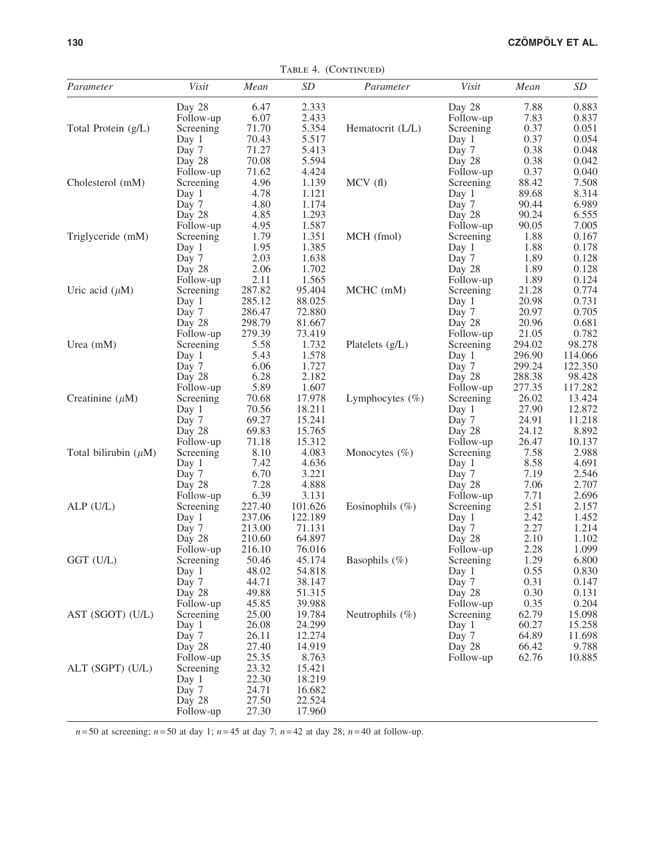| Parameter                 | Visit           | Mean   | SD      | Parameter          | Visit     | Mean   | SD      |
|---------------------------|-----------------|--------|---------|--------------------|-----------|--------|---------|
|                           | Day 28          | 6.47   | 2.333   |                    | Day 28    | 7.88   | 0.883   |
|                           | Follow-up       | 6.07   | 2.433   |                    | Follow-up | 7.83   | 0.837   |
| Total Protein (g/L)       | Screening       | 71.70  | 5.354   | Hematocrit (L/L)   | Screening | 0.37   | 0.051   |
|                           | Day 1           | 70.43  | 5.517   |                    | Day 1     | 0.37   | 0.054   |
|                           | Day 7           | 71.27  | 5.413   |                    | Day 7     | 0.38   | 0.048   |
|                           | Day 28          | 70.08  | 5.594   |                    | Day 28    | 0.38   | 0.042   |
|                           | Follow-up       | 71.62  | 4.424   |                    | Follow-up | 0.37   | 0.040   |
| Cholesterol (mM)          | Screening       | 4.96   | 1.139   | MCV(f)             | Screening | 88.42  | 7.508   |
|                           | Day 1           | 4.78   | 1.121   |                    | Day 1     | 89.68  | 8.314   |
|                           | Day 7           | 4.80   | 1.174   |                    | Day 7     | 90.44  | 6.989   |
|                           | Day 28          | 4.85   | 1.293   |                    | Day 28    | 90.24  | 6.555   |
|                           | Follow-up       | 4.95   | 1.587   |                    | Follow-up | 90.05  | 7.005   |
| Triglyceride (mM)         | Screening       | 1.79   | 1.351   | MCH (fmol)         | Screening | 1.88   | 0.167   |
|                           | Day 1           | 1.95   | 1.385   |                    | Day 1     | 1.88   | 0.178   |
|                           | Day 7           | 2.03   | 1.638   |                    | Day 7     | 1.89   | 0.128   |
|                           | Day 28          | 2.06   | 1.702   |                    | Day 28    | 1.89   | 0.128   |
|                           | Follow-up       | 2.11   | 1.565   |                    | Follow-up | 1.89   | 0.124   |
| Uric acid $(\mu M)$       | Screening       | 287.82 | 95.404  | MCHC (mM)          | Screening | 21.28  | 0.774   |
|                           | Day 1           | 285.12 | 88.025  |                    | Day 1     | 20.98  | 0.731   |
|                           | Day 7           | 286.47 | 72.880  |                    | Day 7     | 20.97  | 0.705   |
|                           | Day 28          | 298.79 | 81.667  |                    | Day 28    | 20.96  | 0.681   |
|                           | Follow-up       | 279.39 | 73.419  |                    | Follow-up | 21.05  | 0.782   |
| Urea $(mM)$               | Screening       | 5.58   | 1.732   | Platelets $(g/L)$  | Screening | 294.02 | 98.278  |
|                           | Day 1           | 5.43   | 1.578   |                    | Day 1     | 296.90 | 114.066 |
|                           | Day 7           | 6.06   | 1.727   |                    | Day 7     | 299.24 | 122.350 |
|                           | Day 28          | 6.28   | 2.182   |                    | Day 28    | 288.38 | 98.428  |
|                           | Follow-up       | 5.89   | 1.607   |                    | Follow-up | 277.35 | 117.282 |
| Creatinine $(\mu M)$      | Screening       | 70.68  | 17.978  | Lymphocytes $(\%)$ | Screening | 26.02  | 13.424  |
|                           | Day 1           | 70.56  | 18.211  |                    | Day 1     | 27.90  | 12.872  |
|                           | Day 7           | 69.27  | 15.241  |                    | Day 7     | 24.91  | 11.218  |
|                           | Day 28          | 69.83  | 15.765  |                    | Day 28    | 24.12  | 8.892   |
|                           | Follow-up       | 71.18  | 15.312  |                    | Follow-up | 26.47  | 10.137  |
| Total bilirubin $(\mu M)$ | Screening       | 8.10   | 4.083   | Monocytes $(\% )$  | Screening | 7.58   | 2.988   |
|                           | Day 1           | 7.42   | 4.636   |                    | Day 1     | 8.58   | 4.691   |
|                           | Day 7           | 6.70   | 3.221   |                    | Day 7     | 7.19   | 2.546   |
|                           | Day 28          | 7.28   | 4.888   |                    | Day 28    | 7.06   | 2.707   |
|                           | Follow-up       | 6.39   | 3.131   |                    | Follow-up | 7.71   | 2.696   |
| $ALP$ (U/L)               | Screening       | 227.40 | 101.626 | Eosinophils $(\%)$ | Screening | 2.51   | 2.157   |
|                           | Day 1           | 237.06 | 122.189 |                    | Day 1     | 2.42   | 1.452   |
|                           | Day 7           | 213.00 | 71.131  |                    | Day 7     | 2.27   | 1.214   |
|                           | Day 28          | 210.60 | 64.897  |                    | Day 28    | 2.10   | 1.102   |
|                           | Follow-up       | 216.10 | 76.016  |                    | Follow-up | 2.28   | 1.099   |
| GGT (U/L)                 | Screening 50.46 |        | 45.174  | Basophils (%)      | Screening | 1.29   | 6.800   |
|                           | Day 1           | 48.02  | 54.818  |                    | Day 1     | 0.55   | 0.830   |
|                           | Day 7           | 44.71  | 38.147  |                    | Day 7     | 0.31   | 0.147   |
|                           | Day 28          | 49.88  | 51.315  |                    | Day 28    | 0.30   | 0.131   |
|                           | Follow-up       | 45.85  | 39.988  |                    | Follow-up | 0.35   | 0.204   |
| AST (SGOT) (U/L)          | Screening       | 25.00  | 19.784  | Neutrophils $(\%)$ | Screening | 62.79  | 15.098  |
|                           | Day 1           | 26.08  | 24.299  |                    | Day 1     | 60.27  | 15.258  |
|                           | Day 7           | 26.11  | 12.274  |                    | Day 7     | 64.89  | 11.698  |
|                           | Day 28          | 27.40  | 14.919  |                    | Day 28    | 66.42  | 9.788   |
|                           |                 | 25.35  | 8.763   |                    | Follow-up | 62.76  |         |
| ALT (SGPT) (U/L)          | Follow-up       | 23.32  | 15.421  |                    |           |        | 10.885  |
|                           | Screening       |        |         |                    |           |        |         |
|                           | Day 1           | 22.30  | 18.219  |                    |           |        |         |
|                           | Day 7           | 24.71  | 16.682  |                    |           |        |         |
|                           | Day 28          | 27.50  | 22.524  |                    |           |        |         |
|                           | Follow-up       | 27.30  | 17.960  |                    |           |        |         |

TABLE 4. (CONTINUED)

*n* = 50 at screening; *n* = 50 at day 1; *n* = 45 at day 7; *n* = 42 at day 28; *n* = 40 at follow-up.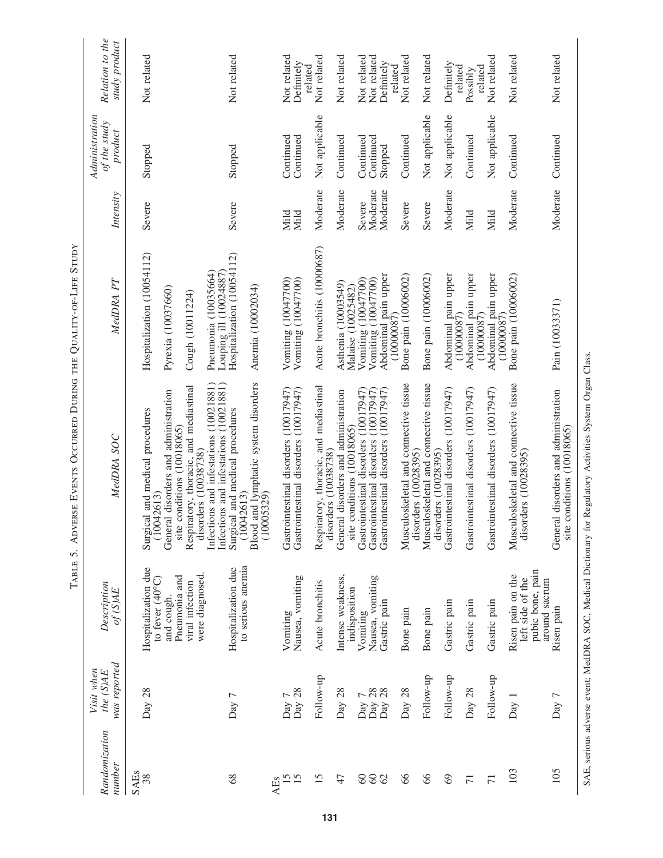|                           |                                       | TABLE 5.                                                                                                             | ADVERSE EVENTS OCCURRED DURING THE QUALITY-OF-LIFE STUDY                                                                                                                                                                                                                     |                                                                                                                        |                                |                                           |                                          |
|---------------------------|---------------------------------------|----------------------------------------------------------------------------------------------------------------------|------------------------------------------------------------------------------------------------------------------------------------------------------------------------------------------------------------------------------------------------------------------------------|------------------------------------------------------------------------------------------------------------------------|--------------------------------|-------------------------------------------|------------------------------------------|
| Randomization<br>number   | was reported<br>Visit when<br>the(SME | Description<br>$of$ (S)AE                                                                                            | MedDRA SOC                                                                                                                                                                                                                                                                   | MedDRA PT                                                                                                              | Intensity                      | Administration<br>of the study<br>product | Relation to the<br>study product         |
| <b>SAEs</b><br>38         | Day 28                                | Hospitalization due<br>were diagnosed.<br>Pneumonia and<br>to fever $(40^{\circ}C)$<br>viral infection<br>and cough. | Infections and infestations (10021881)<br>Infections and infestations (10021881)<br>Respiratory, thoracic, and mediastinal<br>disorders and administration<br>Surgical and medical procedures<br>site conditions (10018065)<br>disorders (10038738)<br>(10042613)<br>General | Hospitalization (10054112)<br>Pneumonia (10035664)<br>Louping ill (10024887)<br>Pyrexia (10037660)<br>Cough (10011224) | Severe                         | Stopped                                   | Not related                              |
| 8 <sup>o</sup>            | Day 7                                 | to serious anemia<br>Hospitalization due                                                                             | Blood and lymphatic system disorders<br>Surgical and medical procedures<br>(10042613)<br>(10005329)                                                                                                                                                                          | Hospitalization (10054112)<br>Anemia (10002034)                                                                        | Severe                         | Stopped                                   | Not related                              |
| 15<br>15<br><b>AEs</b>    | Day 28<br>Day 7                       | Nausea, vomiting<br>Vomiting                                                                                         | Gastrointestinal disorders (10017947)<br>Gastrointestinal disorders (10017947)                                                                                                                                                                                               | Vomiting (10047700)<br>Vomiting (10047700)                                                                             | Mild<br>Mild                   | Continued<br>Continued                    | Not related<br>Definitely<br>related     |
| 15                        | Follow-up                             | Acute bronchitis                                                                                                     | Respiratory, thoracic, and mediastinal<br>disorders (10038738)                                                                                                                                                                                                               | Acute bronchitis (10000687)                                                                                            | Moderate                       | Not applicable                            | Not related                              |
| 47                        | Day 28                                | Intense weakness,<br>indisposition                                                                                   | disorders and administration<br>site conditions (10018065)<br>General                                                                                                                                                                                                        | Asthenia (10003549)<br>Malaise (10025482)                                                                              | Moderate                       | Continued                                 | Not related                              |
| $\odot$<br>$\infty$<br>62 | Day 28<br>Day 28<br>Γ<br>Day          | Nausea, vomiting<br>Gastric pain<br>Vomiting                                                                         | Gastrointestinal disorders (10017947)<br>Gastrointestinal disorders (10017947)<br>Gastrointestinal disorders (10017947                                                                                                                                                       | Abdominal pain upper<br>Vomiting (10047700)<br>Vomiting (10047700)                                                     | Moderate<br>Moderate<br>Severe | Continued<br>Continued<br>Stopped         | Not related<br>Not related<br>Definitely |
| $\delta$                  | Day 28                                | Bone pain                                                                                                            | Musculoskeletal and connective tissue<br>disorders (10028395)                                                                                                                                                                                                                | Bone pain (10006002)<br>(10000087)                                                                                     | Severe                         | Continued                                 | Not related<br>related                   |
| 66                        | Follow-up                             | Bone pain                                                                                                            | Musculoskeletal and connective tissue<br>disorders (10028395)                                                                                                                                                                                                                | Bone pain (10006002)                                                                                                   | Severe                         | Not applicable                            | Not related                              |
| 69                        | Follow-up                             | Gastric pain                                                                                                         | Gastrointestinal disorders (10017947)                                                                                                                                                                                                                                        | Abdominal pain upper<br>(10000087)                                                                                     | Moderate                       | Not applicable                            | Definitely<br>related                    |
| $\overline{71}$           | Day 28                                | Gastric pain                                                                                                         | Gastrointestinal disorders (10017947)                                                                                                                                                                                                                                        | Abdominal pain upper<br>(10000087)                                                                                     | Mild                           | Continued                                 | related<br>Possibly                      |
| $\overline{71}$           | Follow-up                             | Gastric pain                                                                                                         | Gastrointestinal disorders (10017947)                                                                                                                                                                                                                                        | Abdominal pain upper<br>(10000087)                                                                                     | Mild                           | Not applicable                            | Not related                              |
| 103                       | Day                                   | pubic bone, pain<br>Risen pain on the<br>left side of the<br>around sacrum                                           | Musculoskeletal and connective tissue<br>disorders (10028395)                                                                                                                                                                                                                | Bone pain (10006002)                                                                                                   | Moderate                       | Continued                                 | Not related                              |
| 105                       | Day 7                                 | Risen pain                                                                                                           | disorders and administration<br>site conditions (10018065)<br>General                                                                                                                                                                                                        | Pain (10033371)                                                                                                        | Moderate                       | Continued                                 | Not related                              |

SAE, serious adverse event; MedDRA SOC, Medical Dictionary for Regulatory Activities System Organ Class. SAE, serious adverse event; MedDRA SOC, Medical Dictionary for Regulatory Activities System Organ Class.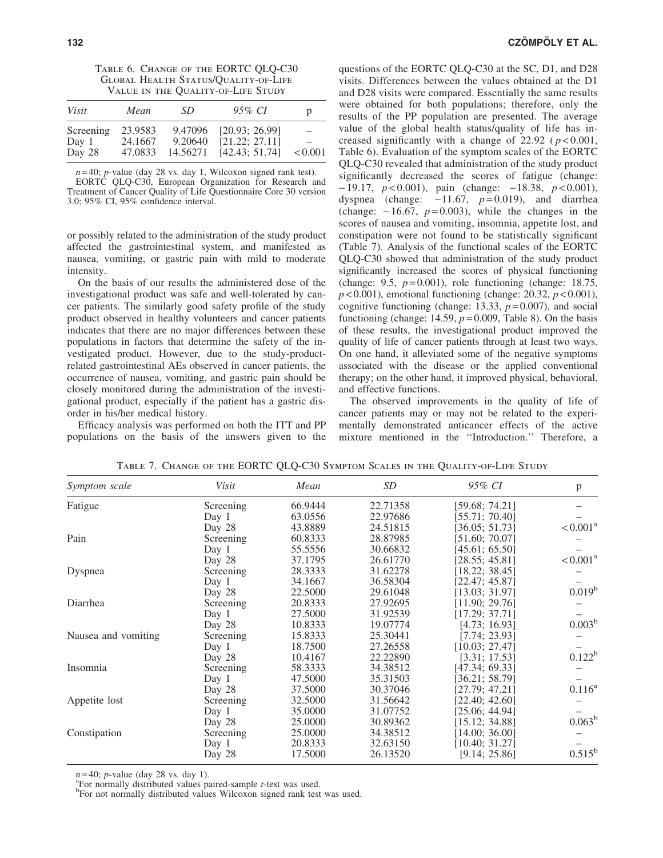| TABLE 6. CHANGE OF THE EORTC QLQ-C30        |
|---------------------------------------------|
| <b>GLOBAL HEALTH STATUS/QUALITY-OF-LIFE</b> |
| VALUE IN THE QUALITY-OF-LIFE STUDY          |

| Visit     | Mean    | SD.      | 95% CI         | p       |
|-----------|---------|----------|----------------|---------|
| Screening | 23.9583 | 9.47096  | [20.93: 26.99] | -       |
| Day 1     | 24.1667 | 9.20640  | [21.22; 27.11] | -       |
| Day 28    | 47.0833 | 14.56271 | [42.43; 51.74] | < 0.001 |

*n* = 40; *p*-value (day 28 vs. day 1, Wilcoxon signed rank test).

EORTC QLQ-C30, European Organization for Research and Treatment of Cancer Quality of Life Questionnaire Core 30 version 3.0; 95% CI, 95% confidence interval.

or possibly related to the administration of the study product affected the gastrointestinal system, and manifested as nausea, vomiting, or gastric pain with mild to moderate intensity.

On the basis of our results the administered dose of the investigational product was safe and well-tolerated by cancer patients. The similarly good safety profile of the study product observed in healthy volunteers and cancer patients indicates that there are no major differences between these populations in factors that determine the safety of the investigated product. However, due to the study-productrelated gastrointestinal AEs observed in cancer patients, the occurrence of nausea, vomiting, and gastric pain should be closely monitored during the administration of the investigational product, especially if the patient has a gastric disorder in his/her medical history.

Efficacy analysis was performed on both the ITT and PP populations on the basis of the answers given to the questions of the EORTC QLQ-C30 at the SC, D1, and D28 visits. Differences between the values obtained at the D1 and D28 visits were compared. Essentially the same results were obtained for both populations; therefore, only the results of the PP population are presented. The average value of the global health status/quality of life has increased significantly with a change of  $22.92$  ( $p < 0.001$ , Table 6). Evaluation of the symptom scales of the EORTC QLQ-C30 revealed that administration of the study product significantly decreased the scores of fatigue (change:  $-19.17$ ,  $p < 0.001$ ), pain (change:  $-18.38$ ,  $p < 0.001$ ), dyspnea (change:  $-11.67$ ,  $p=0.019$ ), and diarrhea (change:  $-16.67$ ,  $p=0.003$ ), while the changes in the scores of nausea and vomiting, insomnia, appetite lost, and constipation were not found to be statistically significant (Table 7). Analysis of the functional scales of the EORTC QLQ-C30 showed that administration of the study product significantly increased the scores of physical functioning (change: 9.5, *p* = 0.001), role functioning (change: 18.75, *p* < 0.001), emotional functioning (change: 20.32, *p* < 0.001), cognitive functioning (change: 13.33,  $p = 0.007$ ), and social functioning (change:  $14.59$ ,  $p = 0.009$ , Table 8). On the basis of these results, the investigational product improved the quality of life of cancer patients through at least two ways. On one hand, it alleviated some of the negative symptoms associated with the disease or the applied conventional therapy; on the other hand, it improved physical, behavioral, and effective functions.

The observed improvements in the quality of life of cancer patients may or may not be related to the experimentally demonstrated anticancer effects of the active mixture mentioned in the ''Introduction.'' Therefore, a

| Symptom scale       | Visit     | Mean    | SD       | 95% CI         | p                      |
|---------------------|-----------|---------|----------|----------------|------------------------|
| Fatigue             | Screening | 66.9444 | 22.71358 | [59.68; 74.21] |                        |
|                     | Day 1     | 63.0556 | 22.97686 | [55.71; 70.40] |                        |
|                     | Day 28    | 43.8889 | 24.51815 | [36.05; 51.73] | $< 0.001$ <sup>a</sup> |
| Pain                | Screening | 60.8333 | 28.87985 | [51.60; 70.07] |                        |
|                     | Day 1     | 55.5556 | 30.66832 | [45.61; 65.50] |                        |
|                     | Day 28    | 37.1795 | 26.61770 | [28.55; 45.81] | $< 0.001^a$            |
| Dyspnea             | Screening | 28.3333 | 31.62278 | [18.22; 38.45] |                        |
|                     | Day 1     | 34.1667 | 36.58304 | [22.47; 45.87] |                        |
|                     | Day 28    | 22.5000 | 29.61048 | [13.03: 31.97] | $0.019^{b}$            |
| Diarrhea            | Screening | 20.8333 | 27.92695 | [11.90; 29.76] |                        |
|                     | Day 1     | 27.5000 | 31.92539 | [17.29; 37.71] |                        |
|                     | Day 28    | 10.8333 | 19.07774 | [4.73; 16.93]  | 0.003 <sup>b</sup>     |
| Nausea and vomiting | Screening | 15.8333 | 25.30441 | [7.74; 23.93]  |                        |
|                     | Day 1     | 18.7500 | 27.26558 | [10.03; 27.47] |                        |
|                     | Day 28    | 10.4167 | 22.22890 | [3.31; 17.53]  | $0.122^{b}$            |
| Insomnia            | Screening | 58.3333 | 34.38512 | [47.34; 69.33] |                        |
|                     | Day 1     | 47.5000 | 35.31503 | [36.21; 58.79] |                        |
|                     | Day 28    | 37.5000 | 30.37046 | [27.79; 47.21] | $0.116^{a}$            |
| Appetite lost       | Screening | 32.5000 | 31.56642 | [22.40; 42.60] |                        |
|                     | Day 1     | 35.0000 | 31.07752 | [25.06; 44.94] |                        |
|                     | Day 28    | 25.0000 | 30.89362 | [15.12; 34.88] | $0.063^{\rm b}$        |
| Constipation        | Screening | 25.0000 | 34.38512 | [14.00; 36.00] |                        |
|                     | Day 1     | 20.8333 | 32.63150 | [10.40; 31.27] |                        |
|                     | Day 28    | 17.5000 | 26.13520 | [9.14; 25.86]  | $0.515^{b}$            |

Table 7. Change of the EORTC QLQ-C30 Symptom Scales in the Quality-of-Life Study

 $n = 40$ ; *p*-value (day 28 vs. day 1).

For normally distributed values paired-sample *<sup>t</sup>*-test was used. <sup>b</sup>

For not normally distributed values Wilcoxon signed rank test was used.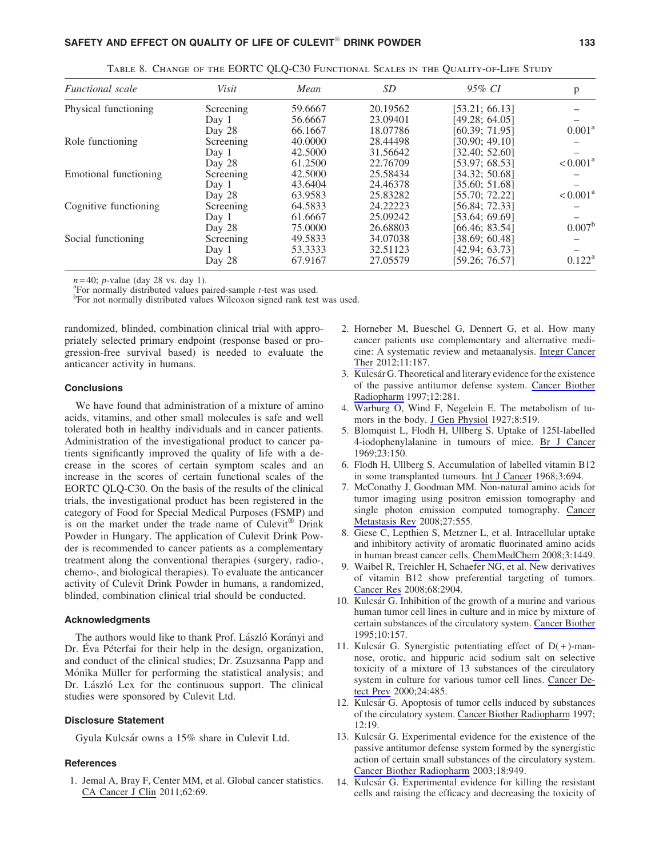| <b>Functional</b> scale | Visit     | Mean    | SD <sub>-</sub> | 95% CI         | p                    |
|-------------------------|-----------|---------|-----------------|----------------|----------------------|
| Physical functioning    | Screening | 59.6667 | 20.19562        | [53.21; 66.13] |                      |
|                         | Day 1     | 56.6667 | 23.09401        | [49.28; 64.05] |                      |
|                         | Day 28    | 66.1667 | 18.07786        | [60.39: 71.95] | $0.001^{\rm a}$      |
| Role functioning        | Screening | 40.0000 | 28.44498        | [30.90; 49.10] |                      |
|                         | Day 1     | 42.5000 | 31.56642        | [32.40: 52.60] |                      |
|                         | Day 28    | 61.2500 | 22.76709        | [53.97; 68.53] | $< 0.001^a$          |
| Emotional functioning   | Screening | 42.5000 | 25.58434        | [34.32; 50.68] |                      |
|                         | Day 1     | 43.6404 | 24.46378        | [35.60; 51.68] |                      |
|                         | Day 28    | 63.9583 | 25.83282        | [55.70: 72.22] | $< 0.001^{\text{a}}$ |
| Cognitive functioning   | Screening | 64.5833 | 24.22223        | [56.84; 72.33] |                      |
|                         | Day 1     | 61.6667 | 25.09242        | [53.64; 69.69] |                      |
|                         | Day 28    | 75.0000 | 26.68803        | [66.46: 83.54] | 0.007 <sup>b</sup>   |
| Social functioning      | Screening | 49.5833 | 34.07038        | [38.69; 60.48] |                      |
|                         | Day 1     | 53.3333 | 32.51123        | [42.94; 63.73] |                      |
|                         | Day 28    | 67.9167 | 27.05579        | [59.26; 76.57] | $0.122^{\rm a}$      |

Table 8. Change of the EORTC QLQ-C30 Functional Scales in the Quality-of-Life Study

 $n=40$ ; *p*-value (day 28 vs. day 1).

For normally distributed values paired-sample *<sup>t</sup>*-test was used. <sup>b</sup>

<sup>b</sup>For not normally distributed values Wilcoxon signed rank test was used.

randomized, blinded, combination clinical trial with appropriately selected primary endpoint (response based or progression-free survival based) is needed to evaluate the anticancer activity in humans.

#### **Conclusions**

We have found that administration of a mixture of amino acids, vitamins, and other small molecules is safe and well tolerated both in healthy individuals and in cancer patients. Administration of the investigational product to cancer patients significantly improved the quality of life with a decrease in the scores of certain symptom scales and an increase in the scores of certain functional scales of the EORTC QLQ-C30. On the basis of the results of the clinical trials, the investigational product has been registered in the category of Food for Special Medical Purposes (FSMP) and is on the market under the trade name of Culevit<sup>®</sup> Drink Powder in Hungary. The application of Culevit Drink Powder is recommended to cancer patients as a complementary treatment along the conventional therapies (surgery, radio-, chemo-, and biological therapies). To evaluate the anticancer activity of Culevit Drink Powder in humans, a randomized, blinded, combination clinical trial should be conducted.

#### Acknowledgments

The authors would like to thank Prof. László Korányi and Dr. Éva Péterfai for their help in the design, organization, and conduct of the clinical studies; Dr. Zsuzsanna Papp and Mónika Müller for performing the statistical analysis; and Dr. László Lex for the continuous support. The clinical studies were sponsored by Culevit Ltd.

### Disclosure Statement

Gyula Kulcsár owns a 15% share in Culevit Ltd.

#### **References**

1. Jemal A, Bray F, Center MM, et al. Global cancer statistics. CA Cancer J Clin 2011;62:69.

- 2. Horneber M, Bueschel G, Dennert G, et al. How many cancer patients use complementary and alternative medicine: A systematic review and metaanalysis. Integr Cancer Ther 2012;11:187.
- 3. Kulcsa´r G. Theoretical and literary evidence for the existence of the passive antitumor defense system. Cancer Biother Radiopharm 1997;12:281.
- 4. Warburg O, Wind F, Negelein E. The metabolism of tumors in the body. J Gen Physiol 1927;8:519.
- 5. Blomquist L, Flodh H, Ullberg S. Uptake of 125I-labelled 4-iodophenylalanine in tumours of mice. Br J Cancer 1969;23:150.
- 6. Flodh H, Ullberg S. Accumulation of labelled vitamin B12 in some transplanted tumours. Int J Cancer 1968;3:694.
- 7. McConathy J, Goodman MM. Non-natural amino acids for tumor imaging using positron emission tomography and single photon emission computed tomography. Cancer Metastasis Rev 2008;27:555.
- 8. Giese C, Lepthien S, Metzner L, et al. Intracellular uptake and inhibitory activity of aromatic fluorinated amino acids in human breast cancer cells. ChemMedChem 2008;3:1449.
- 9. Waibel R, Treichler H, Schaefer NG, et al. New derivatives of vitamin B12 show preferential targeting of tumors. Cancer Res 2008;68:2904.
- 10. Kulcsa´r G. Inhibition of the growth of a murine and various human tumor cell lines in culture and in mice by mixture of certain substances of the circulatory system. Cancer Biother 1995;10:157.
- 11. Kulcsár G. Synergistic potentiating effect of  $D(+)$ -mannose, orotic, and hippuric acid sodium salt on selective toxicity of a mixture of 13 substances of the circulatory system in culture for various tumor cell lines. Cancer Detect Prev 2000;24:485.
- 12. Kulcsár G. Apoptosis of tumor cells induced by substances of the circulatory system. Cancer Biother Radiopharm 1997; 12:19.
- 13. Kulcsár G. Experimental evidence for the existence of the passive antitumor defense system formed by the synergistic action of certain small substances of the circulatory system. Cancer Biother Radiopharm 2003;18:949.
- 14. Kulcsár G. Experimental evidence for killing the resistant cells and raising the efficacy and decreasing the toxicity of